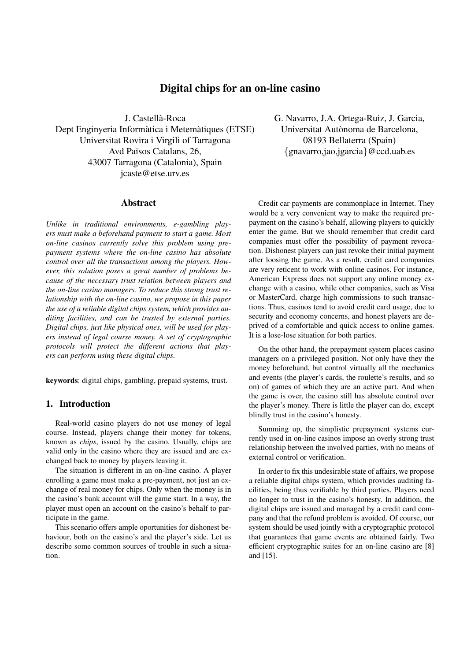# **Digital chips for an on-line casino**

J. Castella-Roca ` Dept Enginyeria Informàtica i Metemàtiques (ETSE) Universitat Rovira i Virgili of Tarragona Avd Països Catalans, 26, 43007 Tarragona (Catalonia), Spain jcaste@etse.urv.es

# **Abstract**

*Unlike in traditional environments, e-gambling players must make a beforehand payment to start a game. Most on-line casinos currently solve this problem using prepayment systems where the on-line casino has absolute control over all the transactions among the players. However, this solution poses a great number of problems because of the necessary trust relation between players and the on-line casino managers. To reduce this strong trust relationship with the on-line casino, we propose in this paper the use of a reliable digital chips system, which provides auditing facilities, and can be trusted by external parties. Digital chips, just like physical ones, will be used for players instead of legal course money. A set of cryptographic protocols will protect the different actions that players can perform using these digital chips.*

**keywords**: digital chips, gambling, prepaid systems, trust.

## **1. Introduction**

Real-world casino players do not use money of legal course. Instead, players change their money for tokens, known as *chips*, issued by the casino. Usually, chips are valid only in the casino where they are issued and are exchanged back to money by players leaving it.

The situation is different in an on-line casino. A player enrolling a game must make a pre-payment, not just an exchange of real money for chips. Only when the money is in the casino's bank account will the game start. In a way, the player must open an account on the casino's behalf to participate in the game.

This scenario offers ample oportunities for dishonest behaviour, both on the casino's and the player's side. Let us describe some common sources of trouble in such a situation.

G. Navarro, J.A. Ortega-Ruiz, J. Garcia, Universitat Autònoma de Barcelona, 08193 Bellaterra (Spain) {gnavarro,jao,jgarcia}@ccd.uab.es

Credit car payments are commonplace in Internet. They would be a very convenient way to make the required prepayment on the casino's behalf, allowing players to quickly enter the game. But we should remember that credit card companies must offer the possibility of payment revocation. Dishonest players can just revoke their initial payment after loosing the game. As a result, credit card companies are very reticent to work with online casinos. For instance, American Express does not support any online money exchange with a casino, while other companies, such as Visa or MasterCard, charge high commissions to such transactions. Thus, casinos tend to avoid credit card usage, due to security and economy concerns, and honest players are deprived of a comfortable and quick access to online games. It is a lose-lose situation for both parties.

On the other hand, the prepayment system places casino managers on a privileged position. Not only have they the money beforehand, but control virtually all the mechanics and events (the player's cards, the roulette's results, and so on) of games of which they are an active part. And when the game is over, the casino still has absolute control over the player's money. There is little the player can do, except blindly trust in the casino's honesty.

Summing up, the simplistic prepayment systems currently used in on-line casinos impose an overly strong trust relationship between the involved parties, with no means of external control or verification.

In order to fix this undesirable state of affairs, we propose a reliable digital chips system, which provides auditing facilities, being thus verifiable by third parties. Players need no longer to trust in the casino's honesty. In addition, the digital chips are issued and managed by a credit card company and that the refund problem is avoided. Of course, our system should be used jointly with a cryptographic protocol that guarantees that game events are obtained fairly. Two efficient cryptographic suites for an on-line casino are [8] and [15].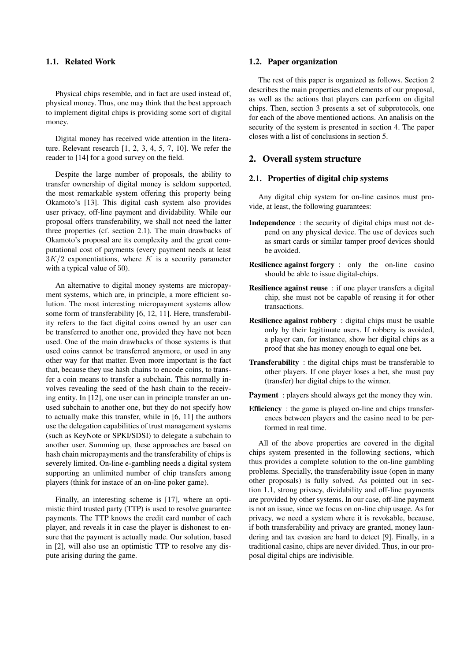# **1.1. Related Work**

Physical chips resemble, and in fact are used instead of, physical money. Thus, one may think that the best approach to implement digital chips is providing some sort of digital money.

Digital money has received wide attention in the literature. Relevant research [1, 2, 3, 4, 5, 7, 10]. We refer the reader to [14] for a good survey on the field.

Despite the large number of proposals, the ability to transfer ownership of digital money is seldom supported, the most remarkable system offering this property being Okamoto's [13]. This digital cash system also provides user privacy, off-line payment and dividability. While our proposal offers transferability, we shall not need the latter three properties (cf. section 2.1). The main drawbacks of Okamoto's proposal are its complexity and the great computational cost of payments (every payment needs at least  $3K/2$  exponentiations, where K is a security parameter with a typical value of 50).

An alternative to digital money systems are micropayment systems, which are, in principle, a more efficient solution. The most interesting micropayment systems allow some form of transferability [6, 12, 11]. Here, transferability refers to the fact digital coins owned by an user can be transferred to another one, provided they have not been used. One of the main drawbacks of those systems is that used coins cannot be transferred anymore, or used in any other way for that matter. Even more important is the fact that, because they use hash chains to encode coins, to transfer a coin means to transfer a subchain. This normally involves revealing the seed of the hash chain to the receiving entity. In [12], one user can in principle transfer an unused subchain to another one, but they do not specify how to actually make this transfer, while in [6, 11] the authors use the delegation capabilities of trust management systems (such as KeyNote or SPKI/SDSI) to delegate a subchain to another user. Summing up, these approaches are based on hash chain micropayments and the transferability of chips is severely limited. On-line e-gambling needs a digital system supporting an unlimited number of chip transfers among players (think for instace of an on-line poker game).

Finally, an interesting scheme is [17], where an optimistic third trusted party (TTP) is used to resolve guarantee payments. The TTP knows the credit card number of each player, and reveals it in case the player is dishonest to ensure that the payment is actually made. Our solution, based in [2], will also use an optimistic TTP to resolve any dispute arising during the game.

### **1.2. Paper organization**

The rest of this paper is organized as follows. Section 2 describes the main properties and elements of our proposal, as well as the actions that players can perform on digital chips. Then, section 3 presents a set of subprotocols, one for each of the above mentioned actions. An analisis on the security of the system is presented in section 4. The paper closes with a list of conclusions in section 5.

# **2. Overall system structure**

# **2.1. Properties of digital chip systems**

Any digital chip system for on-line casinos must provide, at least, the following guarantees:

- **Independence** : the security of digital chips must not depend on any physical device. The use of devices such as smart cards or similar tamper proof devices should be avoided.
- **Resilience against forgery** : only the on-line casino should be able to issue digital-chips.
- **Resilience against reuse** : if one player transfers a digital chip, she must not be capable of reusing it for other transactions.
- **Resilience against robbery** : digital chips must be usable only by their legitimate users. If robbery is avoided, a player can, for instance, show her digital chips as a proof that she has money enough to equal one bet.
- **Transferability** : the digital chips must be transferable to other players. If one player loses a bet, she must pay (transfer) her digital chips to the winner.
- **Payment** : players should always get the money they win.
- **Efficiency** : the game is played on-line and chips transferences between players and the casino need to be performed in real time.

All of the above properties are covered in the digital chips system presented in the following sections, which thus provides a complete solution to the on-line gambling problems. Specially, the transferability issue (open in many other proposals) is fully solved. As pointed out in section 1.1, strong privacy, dividability and off-line payments are provided by other systems. In our case, off-line payment is not an issue, since we focus on on-line chip usage. As for privacy, we need a system where it is revokable, because, if both transferability and privacy are granted, money laundering and tax evasion are hard to detect [9]. Finally, in a traditional casino, chips are never divided. Thus, in our proposal digital chips are indivisible.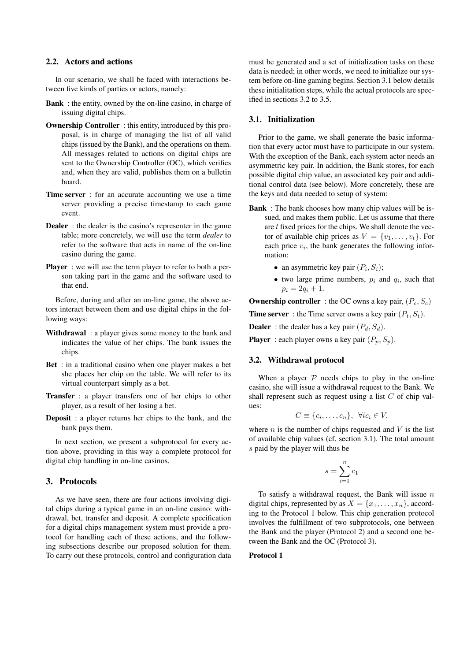# **2.2. Actors and actions**

In our scenario, we shall be faced with interactions between five kinds of parties or actors, namely:

- **Bank** : the entity, owned by the on-line casino, in charge of issuing digital chips.
- **Ownership Controller**: this entity, introduced by this proposal, is in charge of managing the list of all valid chips (issued by the Bank), and the operations on them. All messages related to actions on digital chips are sent to the Ownership Controller (OC), which verifies and, when they are valid, publishes them on a bulletin board.
- **Time server** : for an accurate accounting we use a time server providing a precise timestamp to each game event.
- **Dealer** : the dealer is the casino's representer in the game table; more concretely, we will use the term *dealer* to refer to the software that acts in name of the on-line casino during the game.
- **Player** : we will use the term player to refer to both a person taking part in the game and the software used to that end.

Before, during and after an on-line game, the above actors interact between them and use digital chips in the following ways:

- **Withdrawal** : a player gives some money to the bank and indicates the value of her chips. The bank issues the chips.
- **Bet** : in a traditional casino when one player makes a bet she places her chip on the table. We will refer to its virtual counterpart simply as a bet.
- **Transfer** : a player transfers one of her chips to other player, as a result of her losing a bet.
- **Deposit** : a player returns her chips to the bank, and the bank pays them.

In next section, we present a subprotocol for every action above, providing in this way a complete protocol for digital chip handling in on-line casinos.

# **3. Protocols**

As we have seen, there are four actions involving digital chips during a typical game in an on-line casino: withdrawal, bet, transfer and deposit. A complete specification for a digital chips management system must provide a protocol for handling each of these actions, and the following subsections describe our proposed solution for them. To carry out these protocols, control and configuration data must be generated and a set of initialization tasks on these data is needed; in other words, we need to initialize our system before on-line gaming begins. Section 3.1 below details these initialitation steps, while the actual protocols are specified in sections 3.2 to 3.5.

### **3.1. Initialization**

Prior to the game, we shall generate the basic information that every actor must have to participate in our system. With the exception of the Bank, each system actor needs an asymmetric key pair. In addition, the Bank stores, for each possible digital chip value, an associated key pair and additional control data (see below). More concretely, these are the keys and data needed to setup of system:

- **Bank** : The bank chooses how many chip values will be issued, and makes them public. Let us assume that there are  $t$  fixed prices for the chips. We shall denote the vector of available chip prices as  $V = \{v_1, \ldots, v_t\}$ . For each price  $v_i$ , the bank generates the following information:
	- an asymmetric key pair  $(P_i, S_i)$ ;
	- two large prime numbers,  $p_i$  and  $q_i$ , such that  $p_i = 2q_i + 1.$

**Ownership controller** : the OC owns a key pair,  $(P_c, S_c)$ 

**Time server** : the Time server owns a key pair  $(P_t, S_t)$ .

**Dealer** : the dealer has a key pair  $(P_d, S_d)$ .

**Player** : each player owns a key pair  $(P_p, S_p)$ .

### **3.2. Withdrawal protocol**

When a player  $P$  needs chips to play in the on-line casino, she will issue a withdrawal request to the Bank. We shall represent such as request using a list  $C$  of chip values:

$$
C \equiv \{c_i, \ldots, c_n\}, \ \forall ic_i \in V,
$$

where  $n$  is the number of chips requested and  $V$  is the list of available chip values (cf. section 3.1). The total amount s paid by the player will thus be

$$
s = \sum_{i=1}^{n} c_i
$$

To satisfy a withdrawal request, the Bank will issue  $n$ digital chips, represented by as  $X = \{x_1, \ldots, x_n\}$ , according to the Protocol 1 below. This chip generation protocol involves the fulfillment of two subprotocols, one between the Bank and the player (Protocol 2) and a second one between the Bank and the OC (Protocol 3).

# **Protocol 1**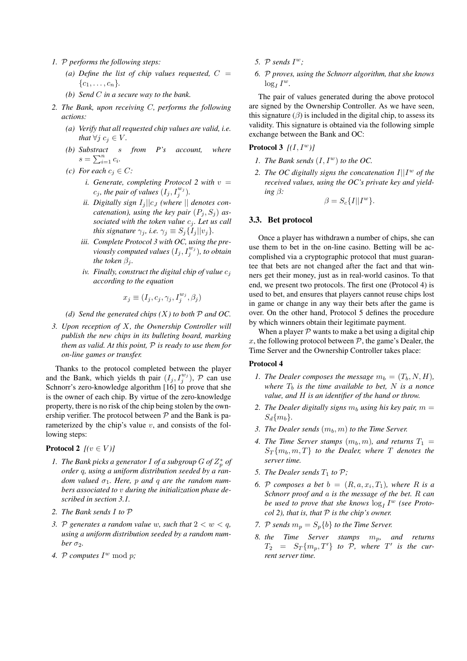- *1.* P *performs the following steps:*
	- (a) Define the list of chip values requested,  $C =$  $\{c_1, \ldots, c_n\}.$
	- *(b) Send* C *in a secure way to the bank.*
- *2. The Bank, upon receiving* C*, performs the following actions:*
	- *(a) Verify that all requested chip values are valid, i.e. that*  $\forall j \ c_j \in V$ *.*
	- *(b) Substract* s *from P's account, where*  $s = \sum_{i=1}^{n} c_i$ .
	- *(c) For each*  $c_i \in C$ *:* 
		- *i. Generate, completing Protocol 2 with*  $v =$  $c_j$ , the pair of values  $(I_j, I_j^{w_j})$ .
		- *ii.* Digitally sign  $I_i||c_J$  (where  $||$  denotes con*catenation*), *using the key pair*  $(P_i, S_j)$  *associated* with the token value  $c_j$ . Let us call *this signature*  $\gamma_j$ *, i.e.*  $\gamma_j \equiv S_j \{I_j || v_j \}$ *.*
		- *iii. Complete Protocol 3 with OC, using the previously computed values*  $(I_j, I_j^{w_j})$ , *to obtain the token*  $\beta_i$ *.*
		- *iv.* Finally, construct the digital chip of value  $c_i$ *according to the equation*

$$
x_j \equiv (I_j, c_j, \gamma_j, I_j^{w_j}, \beta_j)
$$

*(d) Send the generated chips (*X*) to both* P *and OC.*

*3. Upon reception of* X*, the Ownership Controller will publish the new chips in its bulleting board, marking them as valid. At this point,* P *is ready to use them for on-line games or transfer.*

Thanks to the protocol completed between the player and the Bank, which yields th pair  $(I_j, I_j^{w_j})$ ,  $\mathcal P$  can use Schnorr's zero-knowledge algorithm [16] to prove that she is the owner of each chip. By virtue of the zero-knowledge property, there is no risk of the chip being stolen by the ownership verifier. The protocol between  $P$  and the Bank is parameterized by the chip's value  $v$ , and consists of the following steps:

# **Protocol 2**  $[(v \in V)]$

- *1. The Bank picks a generator I of a subgroup*  $G$  *of*  $Z_p^*$  *of order* q*, using a uniform distribution seeded by a ran* $dom$  *valued*  $\sigma_1$ *. Here, p and q are the random numbers associated to* v *during the initialization phase described in section 3.1.*
- *2. The Bank sends* I *to* P
- *3.* P generates a random value w, such that  $2 < w < q$ , *using a uniform distribution seeded by a random number*  $\sigma_2$ *.*
- 4. P computes  $I^w \bmod p$ ;
- 5.  $P$  *sends*  $I^w$ ;
- *6.* P *proves, using the Schnorr algorithm, that she knows*  $\log_I I^w$ .

The pair of values generated during the above protocol are signed by the Ownership Controller. As we have seen, this signature  $(\beta)$  is included in the digital chip, to assess its validity. This signature is obtained via the following simple exchange between the Bank and OC:

# **Protocol 3** *[(*I, I <sup>w</sup>*)]*

- *1. The Bank sends*  $(I, I^w)$  *to the OC.*
- 2. The OC digitally signs the concatenation  $I||I^w$  of the *received values, using the OC's private key and yielding* β*:*

$$
\beta = S_c\{I||I^w\}.
$$

## **3.3. Bet protocol**

Once a player has withdrawn a number of chips, she can use them to bet in the on-line casino. Betting will be accomplished via a cryptographic protocol that must guarantee that bets are not changed after the fact and that winners get their money, just as in real-world casinos. To that end, we present two protocols. The first one (Protocol 4) is used to bet, and ensures that players cannot reuse chips lost in game or change in any way their bets after the game is over. On the other hand, Protocol 5 defines the procedure by which winners obtain their legitimate payment.

When a player  $P$  wants to make a bet using a digital chip x, the following protocol between  $P$ , the game's Dealer, the Time Server and the Ownership Controller takes place:

#### **Protocol 4**

- *1. The Dealer composes the message*  $m_b = (T_b, N, H)$ , *where*  $T_b$  *is the time available to bet,* N *is a nonce value, and* H *is an identifier of the hand or throw.*
- 2. *The Dealer digitally signs*  $m_b$  *using his key pair,*  $m =$  $S_d\{m_b\}.$
- *3. The Dealer sends*  $(m_b, m)$  *to the Time Server.*
- 4. The Time Server stamps  $(m_b, m)$ , and returns  $T_1 =$  $S_T\{m_b, m, T\}$  *to the Dealer, where* T *denotes the server time.*
- *5. The Dealer sends*  $T_1$  *to*  $P$ *;*
- 6. P composes a bet  $b = (R, a, x_i, T_1)$ , where R is a *Schnorr proof and* a *is the message of the bet.* R *can* be used to prove that she knows  $\log_I I^w$  (see Proto*col 2), that is, that* P *is the chip's owner.*
- *7. P sends*  $m_p = S_p\{b\}$  *to the Time Server.*
- *8. the Time Server stamps* mp*, and returns*  $T_2 = S_T\{m_p, T'\}$  to  $\overline{P}$ , where  $T'$  is the cur*rent server time.*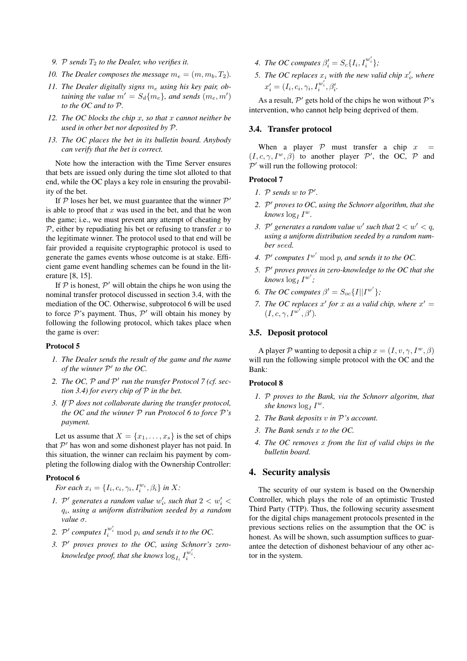- 9. P sends  $T_2$  *to the Dealer, who verifies it.*
- *10. The Dealer composes the message*  $m_e = (m, m_b, T_2)$ *.*
- 11. The Dealer digitally signs  $m_e$  *using his key pair, obtaining the value*  $m' = S_d{m_e}$ , and *sends*  $(m_e, m')$ *to the OC and to* P*.*
- *12. The OC blocks the chip* x*, so that* x *cannot neither be used in other bet nor deposited by* P*.*
- *13. The OC places the bet in its bulletin board. Anybody can verify that the bet is correct.*

Note how the interaction with the Time Server ensures that bets are issued only during the time slot alloted to that end, while the OC plays a key role in ensuring the provability of the bet.

If  $P$  loses her bet, we must guarantee that the winner  $P'$ is able to proof that  $x$  was used in the bet, and that he won the game; i.e., we must prevent any attempt of cheating by  $\mathcal P$ , either by repudiating his bet or refusing to transfer x to the legitimate winner. The protocol used to that end will be fair provided a requisite cryptographic protocol is used to generate the games events whose outcome is at stake. Efficient game event handling schemes can be found in the literature [8, 15].

If  $P$  is honest,  $P'$  will obtain the chips he won using the nominal transfer protocol discussed in section 3.4, with the mediation of the OC. Otherwise, subprotocol 6 will be used to force  $P$ 's payment. Thus,  $P'$  will obtain his money by following the following protocol, which takes place when the game is over:

#### **Protocol 5**

- *1. The Dealer sends the result of the game and the name of the winner*  $P'$  *to the OC.*
- 2. *The* OC,  $P$  *and*  $P'$  *run the transfer Protocol 7* (*cf. section 3.4) for every chip of* P *in the bet.*
- *3. If* P *does not collaborate during the transfer protocol, the OC and the winner* P *run Protocol 6 to force* P*'s payment.*

Let us assume that  $X = \{x_1, \ldots, x_s\}$  is the set of chips that  $P'$  has won and some dishonest player has not paid. In this situation, the winner can reclaim his payment by completing the following dialog with the Ownership Controller:

# **Protocol 6**

*For each*  $x_i = \{I_i, c_i, \gamma_i, I_i^{w_i}, \beta_i\}$  *in* X:

- *1.*  $\mathcal{P}'$  generates a random value  $w'_i$ , such that  $2 < w'_i$ qi *, using a uniform distribution seeded by a random value* σ*.*
- 2.  $P'$  *computes*  $I_i^{w'_i}$  mod  $p_i$  *and sends it to the OC.*
- *3.* P <sup>0</sup> *proves proves to the OC, using Schnorr's zero*knowledge proof, that she knows  $\log_{I_i} I_i^{w'_i}$ .
- *4. The OC computes*  $\beta'_{i} = S_{c} \{ I_{i}, I_{i}^{w'_{i}} \}$ ;
- 5. *The OC replaces*  $x_i$  *with the new valid chip*  $x'_i$ *, where*  $x'_{i} = (I_{i}, c_{i}, \gamma_{i}, I_{i}^{w'_{i}}, \beta'_{i}.$

As a result,  $P'$  gets hold of the chips he won without  $P'$ 's intervention, who cannot help being deprived of them.

#### **3.4. Transfer protocol**

When a player  $P$  must transfer a chip x  $(I, c, \gamma, I^w, \beta)$  to another player  $\mathcal{P}'$ , the OC,  $\mathcal{P}$  and  $\mathcal{P}'$  will run the following protocol:

## **Protocol 7**

- *1.*  $P$  *sends*  $w$  *to*  $P'$ *.*
- *2.* P <sup>0</sup> *proves to OC, using the Schnorr algorithm, that she*  $\textit{knows} \log_I I^w$ .
- 3.  $\mathcal{P}'$  generates a random value w' such that  $2 < w' < q$ , *using a uniform distribution seeded by a random number* seed*.*
- *4.*  $P'$  computes  $I^{w'}$  mod p, and sends it to the OC.
- *5.* P <sup>0</sup> *proves proves in zero-knowledge to the OC that she*  $\frac{1}{k} I^{w'}$ ;
- *6. The OC computes*  $\beta' = S_{oc} \{I | [I^{w'}] \}$ ;
- *7. The OC replaces*  $x'$  *for*  $x$  *as a valid chip, where*  $x' =$  $(I, c, \gamma, I^{w'}, \beta').$

# **3.5. Deposit protocol**

A player P wanting to deposit a chip  $x = (I, v, \gamma, I^w, \beta)$ will run the following simple protocol with the OC and the Bank:

#### **Protocol 8**

- *1.* P *proves to the Bank, via the Schnorr algoritm, that*  $she\ knows\ log_I I^w$ .
- *2. The Bank deposits* v *in* P*'s account.*
- *3. The Bank sends* x *to the OC.*
- *4. The OC removes* x *from the list of valid chips in the bulletin board.*

# **4. Security analysis**

The security of our system is based on the Ownership Controller, which plays the role of an optimistic Trusted Third Party (TTP). Thus, the following security assesment for the digital chips management protocols presented in the previous sections relies on the assumption that the OC is honest. As will be shown, such assumption suffices to guarantee the detection of dishonest behaviour of any other actor in the system.